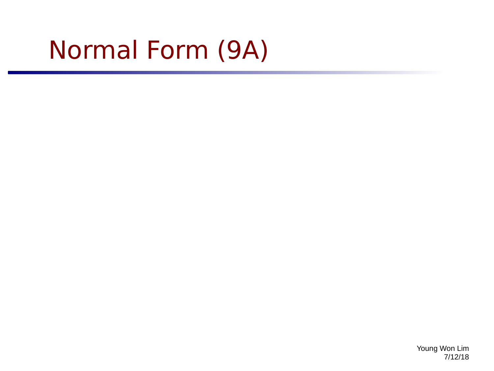## Normal Form (9A)

Young Won Lim 7/12/18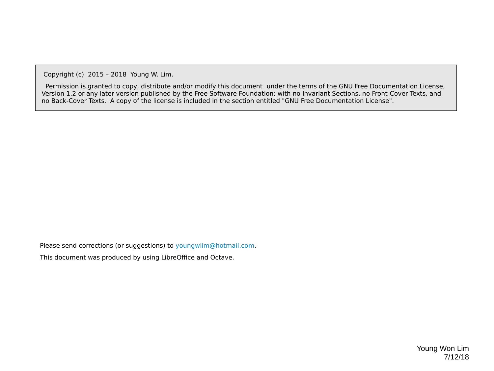Copyright (c) 2015 – 2018 Young W. Lim.

 Permission is granted to copy, distribute and/or modify this document under the terms of the GNU Free Documentation License, Version 1.2 or any later version published by the Free Software Foundation; with no Invariant Sections, no Front-Cover Texts, and no Back-Cover Texts. A copy of the license is included in the section entitled "GNU Free Documentation License".

Please send corrections (or suggestions) to [youngwlim@hotmail.com](mailto:youngwlim@hotmail.com).

This document was produced by using LibreOffice and Octave.

Young Won Lim 7/12/18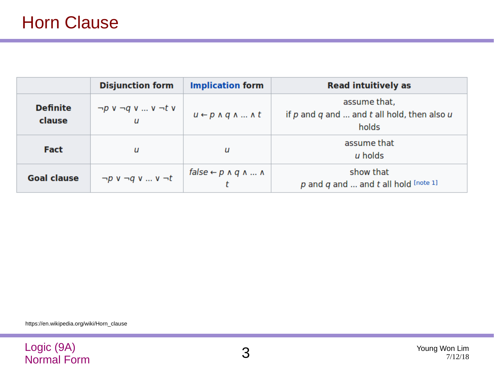|                           | <b>Disjunction form</b>                     | <b>Implication form</b>                   | <b>Read intuitively as</b>                                                   |
|---------------------------|---------------------------------------------|-------------------------------------------|------------------------------------------------------------------------------|
| <b>Definite</b><br>clause | $\neg p \vee \neg q \vee  \vee \neg t \vee$ | $u \leftarrow p \land q \land  \land t$   | assume that,<br>if $p$ and $q$ and  and $t$ all hold, then also $u$<br>holds |
| <b>Fact</b>               | u                                           | u                                         | assume that<br>u holds                                                       |
| <b>Goal clause</b>        | $\neg p$ v $\neg q$ v  v $\neg t$           | $false \leftarrow p \land q \land  \land$ | show that<br>p and q and  and t all hold $[note 1]$                          |

https://en.wikipedia.org/wiki/Horn\_clause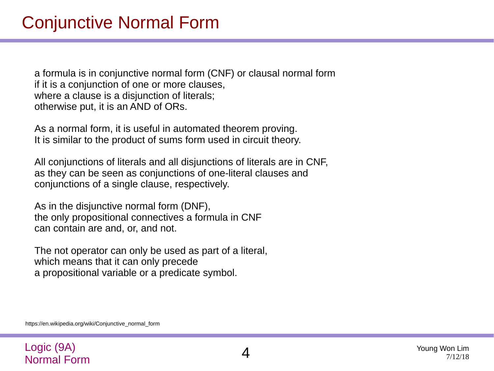a formula is in conjunctive normal form (CNF) or clausal normal form if it is a conjunction of one or more clauses, where a clause is a disjunction of literals; otherwise put, it is an AND of ORs.

As a normal form, it is useful in automated theorem proving. It is similar to the product of sums form used in circuit theory.

All conjunctions of literals and all disjunctions of literals are in CNF, as they can be seen as conjunctions of one-literal clauses and conjunctions of a single clause, respectively.

As in the disjunctive normal form (DNF), the only propositional connectives a formula in CNF can contain are and, or, and not.

The not operator can only be used as part of a literal, which means that it can only precede a propositional variable or a predicate symbol.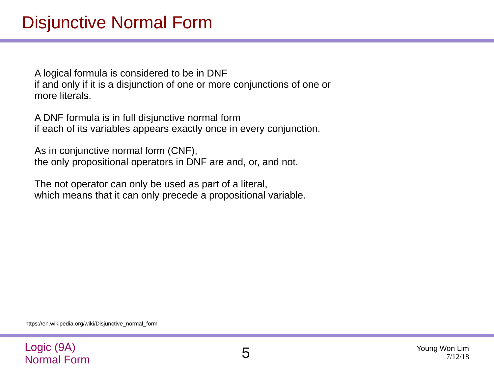A logical formula is considered to be in DNF if and only if it is a disjunction of one or more conjunctions of one or more literals.

A DNF formula is in full disjunctive normal form if each of its variables appears exactly once in every conjunction.

As in conjunctive normal form (CNF), the only propositional operators in DNF are and, or, and not.

The not operator can only be used as part of a literal, which means that it can only precede a propositional variable.

https://en.wikipedia.org/wiki/Disjunctive\_normal\_form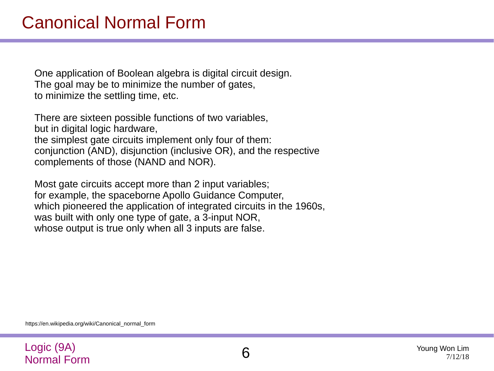One application of Boolean algebra is digital circuit design. The goal may be to minimize the number of gates, to minimize the settling time, etc.

There are sixteen possible functions of two variables, but in digital logic hardware, the simplest gate circuits implement only four of them: conjunction (AND), disjunction (inclusive OR), and the respective complements of those (NAND and NOR).

Most gate circuits accept more than 2 input variables; for example, the spaceborne Apollo Guidance Computer, which pioneered the application of integrated circuits in the 1960s, was built with only one type of gate, a 3-input NOR, whose output is true only when all 3 inputs are false.

https://en.wikipedia.org/wiki/Canonical\_normal\_form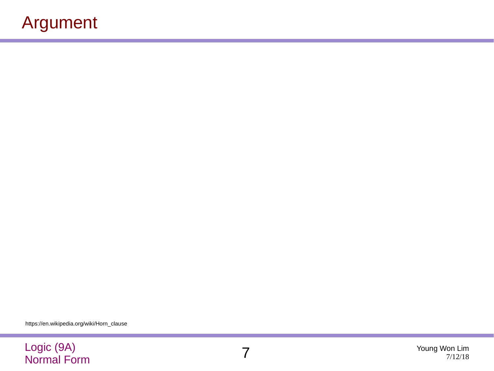## Argument

https://en.wikipedia.org/wiki/Horn\_clause

## Logic (9A) Normal Form 7